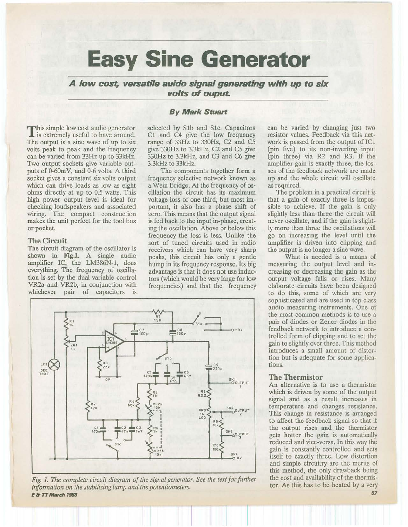# **Easy Sine Generator**

**A low cost, versatile auido signal generating with up to six volts of ouput.** 

This simple low cost audio generator **L** is extremely useful to have around. The output is a sine wave of up to six volts peak to peak and the frequency can be varied from 33Hz up to 33kHz. Two output sockets give variable outputs of 0-60mV, and 0-6 volts. A third socket gives a constant six volts output which can drive loads as low as eight ohms directly at up to 0.5 watts. This high power output level is ideal for checking loudspeakers and associated wiring. The compact construction makes the unit perfect for the tool box or pocket.

#### **The Circuit**

The circuit diagram of the oscillator is shown in Fig.l. A single audio amplifier IC, the LM386N-1, does everything. The frequency of oscillation is set by the dual variable control VR2a and VR2b, in conjunction with whichever pair of capacitors is

## *By Mark Stuart*

selected by Slb and Slc. Capacitors Cl and C4 give the low frequency range of 33Hz to 330Hz, C2 and *CS*  give 330Hz to 3.3kHz, C2 and *CS* give 330Hz to 3.3kHz, and C3 and C6 give 3.3kHz to 33kHz.

The components together form a frequency selective network known as a Wein Bridge. At the frequency of oscillation the circuit has its maximum voltage loss of one third, but most important, it also has a phase shift of zero. This means that the output signal is fed back to the input in-phase, creating the oscillation. Above or below this frequency the loss is less. Unlike the sort of tuned circuits used in radio receivers which can have very sharp peaks, this circuit has only a gentle hump in its frequency response. Its big advantage is that it does not use inductors (which would be very large for low frequencies) and that the frequency



The problem in a practical circuit is that a gain of exactly three is impossible to achieve. If the gain is only slightly less than three the circuit will never oscillate, and if the gain is slightly more than three the oscillations will go on increasing the level until the amplifier is driven into clipping and the output is no longer a sine wave.

What is needed is a means of measuring the output level and increasing or decreasing the gain as the output voltage falls or rises. Many elaborate circuits have been designed to do this, some of which are very sophisticated and are used in top class audio measuring instruments. One of the most common methods is to use a pair of diodes or Zener diodes in the feedback network to introduce a controlled form of clipping and to set the gain to slightly over three. This method introduces a small amount of distortion but is adequate for some applications.

#### **The Thermistor**

An alternative is to use a thermistor which is driven by some of the output signal and as a result increases in temperature and changes resistance. This change in resistance is arranged to affect the feedback signal so that if the output rises and the thermistor gets hotter the gain is automatically reduced and vice-versa. In this way the gain is constantly controlled and sets itself to exactly three. Low distortion and simple circuitry are the merits of this method, the only drawback being the cost and availability of the thermistor. As this has to be heated by a very



Fig. 1. The complete circuit diagram of the signal generator. See the text for further *infonnation on the stabilizing lamp and the potentiometers. E* **& TT** *Man:h 1188* 

*57*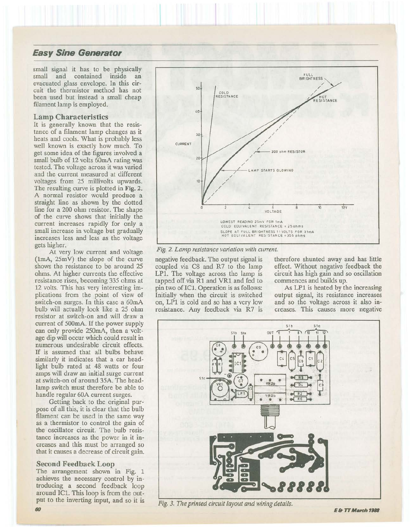# **Easy Sine Generator**

small signal it has to be physically small and contained inside an evacuated glass envelope. In this circuit the thermistor method has not been used but instead a small cheap filament lamp is employed.

#### Lamp Characteristics

It is generally known that the resistance of a filament lamp changes as it heats and cools. What is probably less well known is exactly how much. To get some idea of the figures involved a small bulb of 12 volts 60mA rating was tested. The voltage across it was varied and the current measured at different voltages from 25 millivolts upwards. The resulting curve is plotted in Fig. 2. A normal resistor would produce a straight line as shown by the dotted line for a 200 ohm resistor. The shape of the curve shows that initially the current increases rapidly for only a small increase in voltage but gradually increases less and less as the voltage gets higher.

At very low current and voltage (1mA, 25m V) the slope of the curve shows the resistance to be around 25 ohms. At higher currents the effective resistance rises, becoming 335 ohms at 12 volts. This has very interesting implications from the point of view of switch-on surges. In this case a 60mA bulb will actually look like a 25 ohm resistor at switch-on and will draw a current of 500mA. If the power supply can only provide 250mA, then a voltage dip will occur which could result in numerous undesirable circuit effects. If is assumed that all bulbs behave similarly it indicates that a car headlight bulb rated at 48 watts or four amps will draw an initial surge current at switch-on of around 35A. The headlamp switch must therefore be able to handle regular 60A current surges.

Getting back to the original purpose of all this, it is clear that the bulb filament can be used in the same way as a thermistor to control the gain of the oscillator circuit. The bulb resistance increases as the power in it increases and this must be arranged so that it causes a decrease of circuit gain.

#### Second Feedback Loop

The arrangement shown in Fig. 1 achieves the necessary control by introducing a second feedback loop around ICl. This loop is from the output to the inverting input, and so it is



*Fig. 2. Lamp resistance variation with current.* 

negative feedback. The output signal is therefore shunted away and has little coupled via C8 and R7 to the lamp effect. Without negative feedback the LP1. The voltage across the lamp is circuit has high gain and so oscillation tapped off via Rl and VRl and fed to commences and builds up. pin two of ICL Operation is as follows: As LP1 is heated by the increasing Initially when the circuit is switched output signal, its resistance increases on, LPl is cold and so has a very low and so the voltage across it also inresistance. Any feedback via R7 is creases. This causes more negative



*Fig. 3. The printed circuit layout and wiring details.*